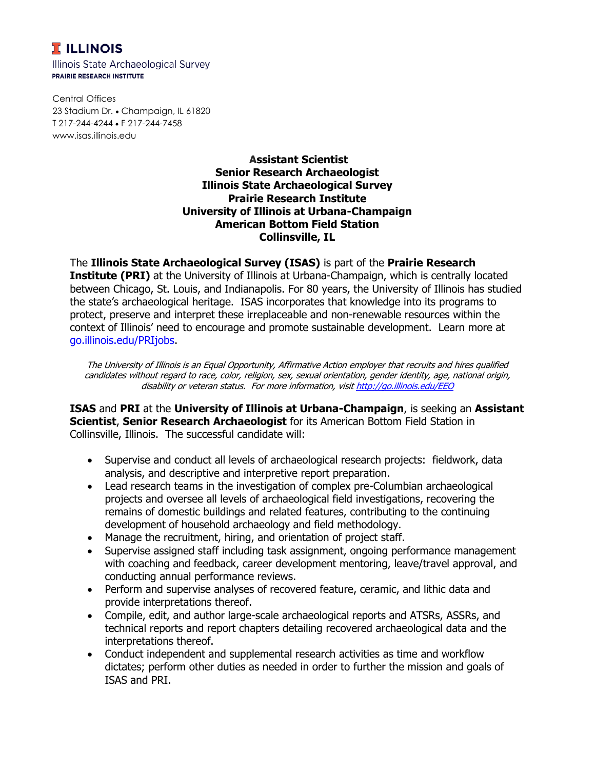## **T** ILLINOIS

Illinois State Archaeological Survey **PRAIRIE RESEARCH INSTITUTE** 

Central Offices 23 Stadium Dr. • Champaign, IL 61820 T 217-244-4244 F 217-244-7458 www.isas.illinois.edu

## **Assistant Scientist Senior Research Archaeologist Illinois State Archaeological Survey Prairie Research Institute University of Illinois at Urbana-Champaign American Bottom Field Station Collinsville, IL**

The **Illinois State Archaeological Survey (ISAS)** is part of the **Prairie Research Institute (PRI)** at the University of Illinois at Urbana-Champaign, which is centrally located between Chicago, St. Louis, and Indianapolis. For 80 years, the University of Illinois has studied the state's archaeological heritage. ISAS incorporates that knowledge into its programs to protect, preserve and interpret these irreplaceable and non-renewable resources within the context of Illinois' need to encourage and promote sustainable development. Learn more at go.illinois.edu/PRIjobs.

The University of Illinois is an Equal Opportunity, Affirmative Action employer that recruits and hires qualified candidates without regard to race, color, religion, sex, sexual orientation, gender identity, age, national origin, disability or veteran status. For more information, visit <http://go.illinois.edu/EEO>

**ISAS** and **PRI** at the **University of Illinois at Urbana-Champaign**, is seeking an **Assistant Scientist**, **Senior Research Archaeologist** for its American Bottom Field Station in Collinsville, Illinois. The successful candidate will:

- Supervise and conduct all levels of archaeological research projects: fieldwork, data analysis, and descriptive and interpretive report preparation.
- Lead research teams in the investigation of complex pre-Columbian archaeological projects and oversee all levels of archaeological field investigations, recovering the remains of domestic buildings and related features, contributing to the continuing development of household archaeology and field methodology.
- Manage the recruitment, hiring, and orientation of project staff.
- Supervise assigned staff including task assignment, ongoing performance management with coaching and feedback, career development mentoring, leave/travel approval, and conducting annual performance reviews.
- Perform and supervise analyses of recovered feature, ceramic, and lithic data and provide interpretations thereof.
- Compile, edit, and author large-scale archaeological reports and ATSRs, ASSRs, and technical reports and report chapters detailing recovered archaeological data and the interpretations thereof.
- Conduct independent and supplemental research activities as time and workflow dictates; perform other duties as needed in order to further the mission and goals of ISAS and PRI.